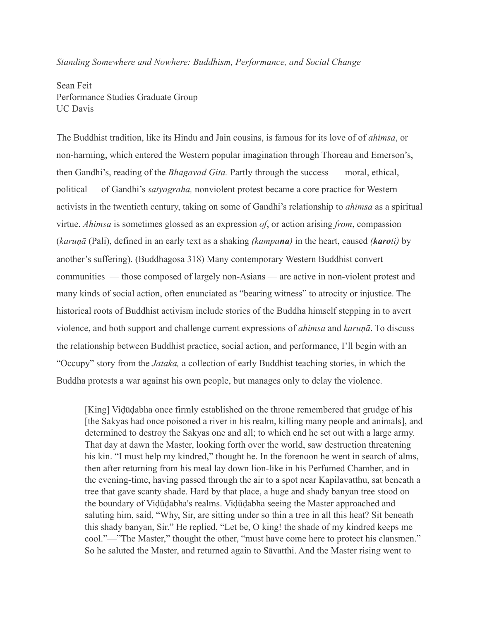*Standing Somewhere and Nowhere: Buddhism, Performance, and Social Change*

Sean Feit Performance Studies Graduate Group UC Davis

The Buddhist tradition, like its Hindu and Jain cousins, is famous for its love of of *ahimsa*, or non-harming, which entered the Western popular imagination through Thoreau and Emerson's, then Gandhi's, reading of the *Bhagavad Gita.* Partly through the success — moral, ethical, political — of Gandhi's *satyagraha,* nonviolent protest became a core practice for Western activists in the twentieth century, taking on some of Gandhi's relationship to *ahimsa* as a spiritual virtue. *Ahimsa* is sometimes glossed as an expression *of*, or action arising *from*, compassion (*karuṇā* (Pali), defined in an early text as a shaking *(kampana)* in the heart, caused *(karoti)* by another's suffering). (Buddhagosa 318) Many contemporary Western Buddhist convert communities — those composed of largely non-Asians — are active in non-violent protest and many kinds of social action, often enunciated as "bearing witness" to atrocity or injustice. The historical roots of Buddhist activism include stories of the Buddha himself stepping in to avert violence, and both support and challenge current expressions of *ahimsa* and *karuṇā*. To discuss the relationship between Buddhist practice, social action, and performance, I'll begin with an "Occupy" story from the *Jataka,* a collection of early Buddhist teaching stories, in which the Buddha protests a war against his own people, but manages only to delay the violence.

[King] Viḍūḍabha once firmly established on the throne remembered that grudge of his [the Sakyas had once poisoned a river in his realm, killing many people and animals], and determined to destroy the Sakyas one and all; to which end he set out with a large army. That day at dawn the Master, looking forth over the world, saw destruction threatening his kin. "I must help my kindred," thought he. In the forenoon he went in search of alms, then after returning from his meal lay down lion-like in his Perfumed Chamber, and in the evening-time, having passed through the air to a spot near Kapilavatthu, sat beneath a tree that gave scanty shade. Hard by that place, a huge and shady banyan tree stood on the boundary of Viḍūḍabha's realms. Viḍūḍabha seeing the Master approached and saluting him, said, "Why, Sir, are sitting under so thin a tree in all this heat? Sit beneath this shady banyan, Sir." He replied, "Let be, O king! the shade of my kindred keeps me cool."—"The Master," thought the other, "must have come here to protect his clansmen." So he saluted the Master, and returned again to Sāvatthi. And the Master rising went to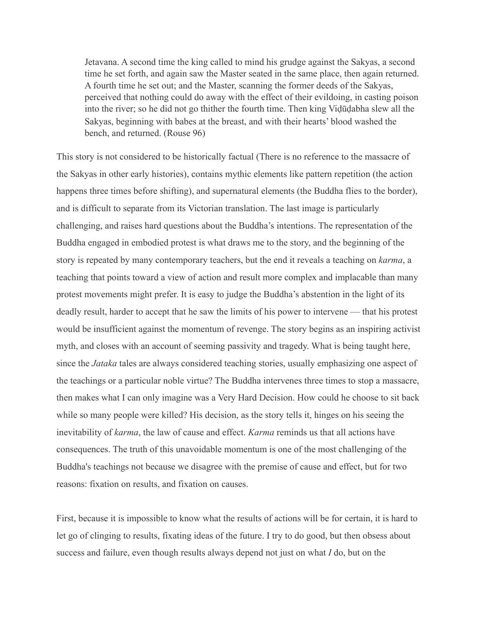Jetavana. A second time the king called to mind his grudge against the Sakyas, a second time he set forth, and again saw the Master seated in the same place, then again returned. A fourth time he set out; and the Master, scanning the former deeds of the Sakyas, perceived that nothing could do away with the effect of their evildoing, in casting poison into the river; so he did not go thither the fourth time. Then king Viḍūḍabha slew all the Sakyas, beginning with babes at the breast, and with their hearts' blood washed the bench, and returned. (Rouse 96)

This story is not considered to be historically factual (There is no reference to the massacre of the Sakyas in other early histories), contains mythic elements like pattern repetition (the action happens three times before shifting), and supernatural elements (the Buddha flies to the border), and is difficult to separate from its Victorian translation. The last image is particularly challenging, and raises hard questions about the Buddha's intentions. The representation of the Buddha engaged in embodied protest is what draws me to the story, and the beginning of the story is repeated by many contemporary teachers, but the end it reveals a teaching on *karma*, a teaching that points toward a view of action and result more complex and implacable than many protest movements might prefer. It is easy to judge the Buddha's abstention in the light of its deadly result, harder to accept that he saw the limits of his power to intervene — that his protest would be insufficient against the momentum of revenge. The story begins as an inspiring activist myth, and closes with an account of seeming passivity and tragedy. What is being taught here, since the *Jataka* tales are always considered teaching stories, usually emphasizing one aspect of the teachings or a particular noble virtue? The Buddha intervenes three times to stop a massacre, then makes what I can only imagine was a Very Hard Decision. How could he choose to sit back while so many people were killed? His decision, as the story tells it, hinges on his seeing the inevitability of *karma*, the law of cause and effect. *Karma* reminds us that all actions have consequences. The truth of this unavoidable momentum is one of the most challenging of the Buddha's teachings not because we disagree with the premise of cause and effect, but for two reasons: fixation on results, and fixation on causes.

First, because it is impossible to know what the results of actions will be for certain, it is hard to let go of clinging to results, fixating ideas of the future. I try to do good, but then obsess about success and failure, even though results always depend not just on what *I* do, but on the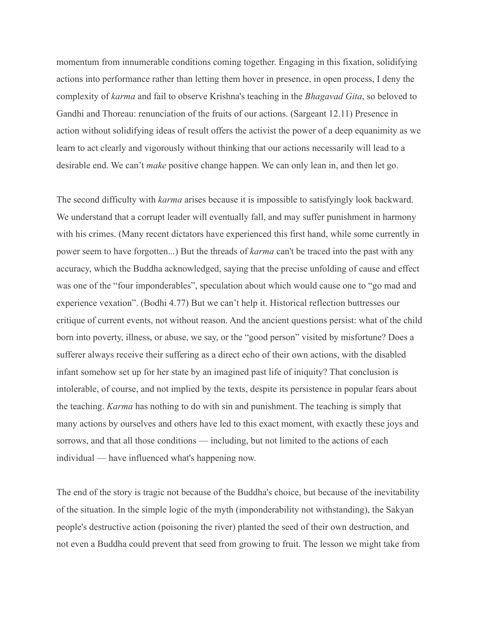momentum from innumerable conditions coming together. Engaging in this fixation, solidifying actions into performance rather than letting them hover in presence, in open process, I deny the complexity of *karma* and fail to observe Krishna's teaching in the *Bhagavad Gita*, so beloved to Gandhi and Thoreau: renunciation of the fruits of our actions. (Sargeant 12.11) Presence in action without solidifying ideas of result offers the activist the power of a deep equanimity as we learn to act clearly and vigorously without thinking that our actions necessarily will lead to a desirable end. We can't *make* positive change happen. We can only lean in, and then let go.

The second difficulty with *karma* arises because it is impossible to satisfyingly look backward. We understand that a corrupt leader will eventually fall, and may suffer punishment in harmony with his crimes. (Many recent dictators have experienced this first hand, while some currently in power seem to have forgotten...) But the threads of *karma* can't be traced into the past with any accuracy, which the Buddha acknowledged, saying that the precise unfolding of cause and effect was one of the "four imponderables", speculation about which would cause one to "go mad and experience vexation". (Bodhi 4.77) But we can't help it. Historical reflection buttresses our critique of current events, not without reason. And the ancient questions persist: what of the child born into poverty, illness, or abuse, we say, or the "good person" visited by misfortune? Does a sufferer always receive their suffering as a direct echo of their own actions, with the disabled infant somehow set up for her state by an imagined past life of iniquity? That conclusion is intolerable, of course, and not implied by the texts, despite its persistence in popular fears about the teaching. *Karma* has nothing to do with sin and punishment. The teaching is simply that many actions by ourselves and others have led to this exact moment, with exactly these joys and sorrows, and that all those conditions — including, but not limited to the actions of each individual — have influenced what's happening now.

The end of the story is tragic not because of the Buddha's choice, but because of the inevitability of the situation. In the simple logic of the myth (imponderability not withstanding), the Sakyan people's destructive action (poisoning the river) planted the seed of their own destruction, and not even a Buddha could prevent that seed from growing to fruit. The lesson we might take from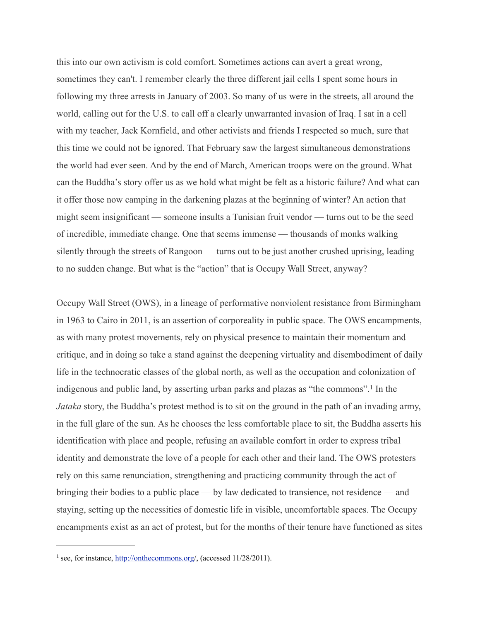this into our own activism is cold comfort. Sometimes actions can avert a great wrong, sometimes they can't. I remember clearly the three different jail cells I spent some hours in following my three arrests in January of 2003. So many of us were in the streets, all around the world, calling out for the U.S. to call off a clearly unwarranted invasion of Iraq. I sat in a cell with my teacher, Jack Kornfield, and other activists and friends I respected so much, sure that this time we could not be ignored. That February saw the largest simultaneous demonstrations the world had ever seen. And by the end of March, American troops were on the ground. What can the Buddha's story offer us as we hold what might be felt as a historic failure? And what can it offer those now camping in the darkening plazas at the beginning of winter? An action that might seem insignificant — someone insults a Tunisian fruit vendor — turns out to be the seed of incredible, immediate change. One that seems immense — thousands of monks walking silently through the streets of Rangoon — turns out to be just another crushed uprising, leading to no sudden change. But what is the "action" that is Occupy Wall Street, anyway?

Occupy Wall Street (OWS), in a lineage of performative nonviolent resistance from Birmingham in 1963 to Cairo in 2011, is an assertion of corporeality in public space. The OWS encampments, as with many protest movements, rely on physical presence to maintain their momentum and critique, and in doing so take a stand against the deepening virtuality and disembodiment of daily life in the technocratic classes of the global north, as well as the occupation and colonization of indigenous and public land, by asserting urban parks and plazas as "the commons".[1](#page-3-0) In the *Jataka* story, the Buddha's protest method is to sit on the ground in the path of an invading army, in the full glare of the sun. As he chooses the less comfortable place to sit, the Buddha asserts his identification with place and people, refusing an available comfort in order to express tribal identity and demonstrate the love of a people for each other and their land. The OWS protesters rely on this same renunciation, strengthening and practicing community through the act of bringing their bodies to a public place — by law dedicated to transience, not residence — and staying, setting up the necessities of domestic life in visible, uncomfortable spaces. The Occupy encampments exist as an act of protest, but for the months of their tenure have functioned as sites

<span id="page-3-0"></span><sup>&</sup>lt;sup>1</sup> see, for instance, [http://onthecommons.org/](http://onthecommons.org), (accessed 11/28/2011).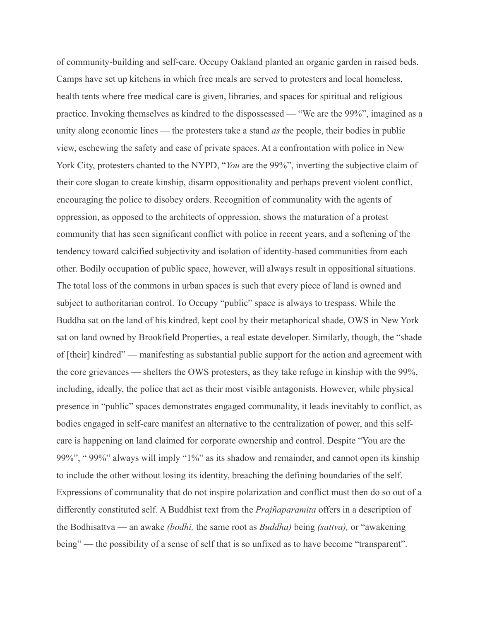of community-building and self-care. Occupy Oakland planted an organic garden in raised beds. Camps have set up kitchens in which free meals are served to protesters and local homeless, health tents where free medical care is given, libraries, and spaces for spiritual and religious practice. Invoking themselves as kindred to the dispossessed — "We are the 99%", imagined as a unity along economic lines — the protesters take a stand *as* the people, their bodies in public view, eschewing the safety and ease of private spaces. At a confrontation with police in New York City, protesters chanted to the NYPD, "*You* are the 99%", inverting the subjective claim of their core slogan to create kinship, disarm oppositionality and perhaps prevent violent conflict, encouraging the police to disobey orders. Recognition of communality with the agents of oppression, as opposed to the architects of oppression, shows the maturation of a protest community that has seen significant conflict with police in recent years, and a softening of the tendency toward calcified subjectivity and isolation of identity-based communities from each other. Bodily occupation of public space, however, will always result in oppositional situations. The total loss of the commons in urban spaces is such that every piece of land is owned and subject to authoritarian control. To Occupy "public" space is always to trespass. While the Buddha sat on the land of his kindred, kept cool by their metaphorical shade, OWS in New York sat on land owned by Brookfield Properties, a real estate developer. Similarly, though, the "shade of [their] kindred" — manifesting as substantial public support for the action and agreement with the core grievances — shelters the OWS protesters, as they take refuge in kinship with the 99%, including, ideally, the police that act as their most visible antagonists. However, while physical presence in "public" spaces demonstrates engaged communality, it leads inevitably to conflict, as bodies engaged in self-care manifest an alternative to the centralization of power, and this selfcare is happening on land claimed for corporate ownership and control. Despite "You are the 99%", " 99%" always will imply "1%" as its shadow and remainder, and cannot open its kinship to include the other without losing its identity, breaching the defining boundaries of the self. Expressions of communality that do not inspire polarization and conflict must then do so out of a differently constituted self. A Buddhist text from the *Prajñaparamita* offers in a description of the Bodhisattva — an awake *(bodhi,* the same root as *Buddha)* being *(sattva),* or "awakening being" — the possibility of a sense of self that is so unfixed as to have become "transparent".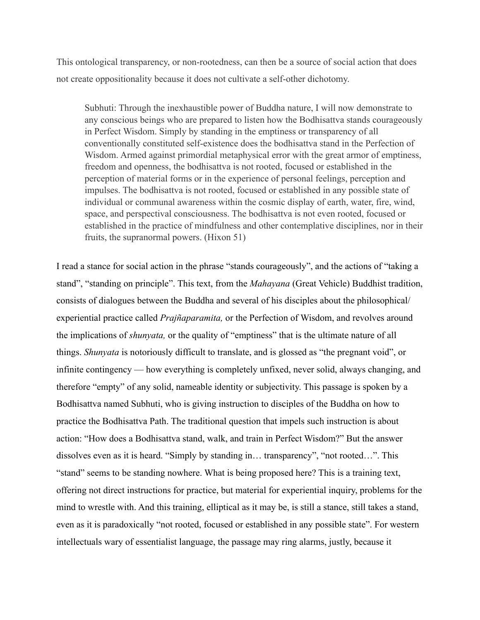This ontological transparency, or non-rootedness, can then be a source of social action that does not create oppositionality because it does not cultivate a self-other dichotomy.

Subhuti: Through the inexhaustible power of Buddha nature, I will now demonstrate to any conscious beings who are prepared to listen how the Bodhisattva stands courageously in Perfect Wisdom. Simply by standing in the emptiness or transparency of all conventionally constituted self-existence does the bodhisattva stand in the Perfection of Wisdom. Armed against primordial metaphysical error with the great armor of emptiness, freedom and openness, the bodhisattva is not rooted, focused or established in the perception of material forms or in the experience of personal feelings, perception and impulses. The bodhisattva is not rooted, focused or established in any possible state of individual or communal awareness within the cosmic display of earth, water, fire, wind, space, and perspectival consciousness. The bodhisattva is not even rooted, focused or established in the practice of mindfulness and other contemplative disciplines, nor in their fruits, the supranormal powers. (Hixon 51)

I read a stance for social action in the phrase "stands courageously", and the actions of "taking a stand", "standing on principle". This text, from the *Mahayana* (Great Vehicle) Buddhist tradition, consists of dialogues between the Buddha and several of his disciples about the philosophical/ experiential practice called *Prajñaparamita,* or the Perfection of Wisdom, and revolves around the implications of *shunyata,* or the quality of "emptiness" that is the ultimate nature of all things. *Shunyata* is notoriously difficult to translate, and is glossed as "the pregnant void", or infinite contingency — how everything is completely unfixed, never solid, always changing, and therefore "empty" of any solid, nameable identity or subjectivity. This passage is spoken by a Bodhisattva named Subhuti, who is giving instruction to disciples of the Buddha on how to practice the Bodhisattva Path. The traditional question that impels such instruction is about action: "How does a Bodhisattva stand, walk, and train in Perfect Wisdom?" But the answer dissolves even as it is heard. "Simply by standing in… transparency", "not rooted…". This "stand" seems to be standing nowhere. What is being proposed here? This is a training text, offering not direct instructions for practice, but material for experiential inquiry, problems for the mind to wrestle with. And this training, elliptical as it may be, is still a stance, still takes a stand, even as it is paradoxically "not rooted, focused or established in any possible state". For western intellectuals wary of essentialist language, the passage may ring alarms, justly, because it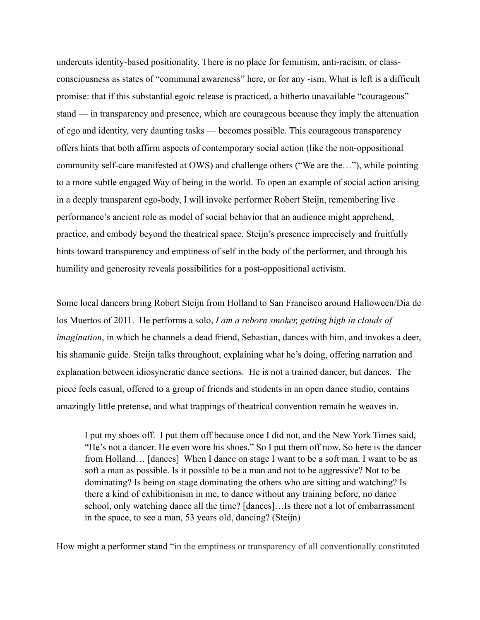undercuts identity-based positionality. There is no place for feminism, anti-racism, or classconsciousness as states of "communal awareness" here, or for any -ism. What is left is a difficult promise: that if this substantial egoic release is practiced, a hitherto unavailable "courageous" stand — in transparency and presence, which are courageous because they imply the attenuation of ego and identity, very daunting tasks — becomes possible. This courageous transparency offers hints that both affirm aspects of contemporary social action (like the non-oppositional community self-care manifested at OWS) and challenge others ("We are the…"), while pointing to a more subtle engaged Way of being in the world. To open an example of social action arising in a deeply transparent ego-body, I will invoke performer Robert Steijn, remembering live performance's ancient role as model of social behavior that an audience might apprehend, practice, and embody beyond the theatrical space. Steijn's presence imprecisely and fruitfully hints toward transparency and emptiness of self in the body of the performer, and through his humility and generosity reveals possibilities for a post-oppositional activism.

Some local dancers bring Robert Steijn from Holland to San Francisco around Halloween/Dia de los Muertos of 2011. He performs a solo, *I am a reborn smoker, getting high in clouds of imagination*, in which he channels a dead friend, Sebastian, dances with him, and invokes a deer, his shamanic guide. Steijn talks throughout, explaining what he's doing, offering narration and explanation between idiosyncratic dance sections. He is not a trained dancer, but dances. The piece feels casual, offered to a group of friends and students in an open dance studio, contains amazingly little pretense, and what trappings of theatrical convention remain he weaves in.

I put my shoes off. I put them off because once I did not, and the New York Times said, "He's not a dancer. He even wore his shoes." So I put them off now. So here is the dancer from Holland… [dances] When I dance on stage I want to be a soft man. I want to be as soft a man as possible. Is it possible to be a man and not to be aggressive? Not to be dominating? Is being on stage dominating the others who are sitting and watching? Is there a kind of exhibitionism in me, to dance without any training before, no dance school, only watching dance all the time? [dances]…Is there not a lot of embarrassment in the space, to see a man, 53 years old, dancing? (Steijn)

How might a performer stand "in the emptiness or transparency of all conventionally constituted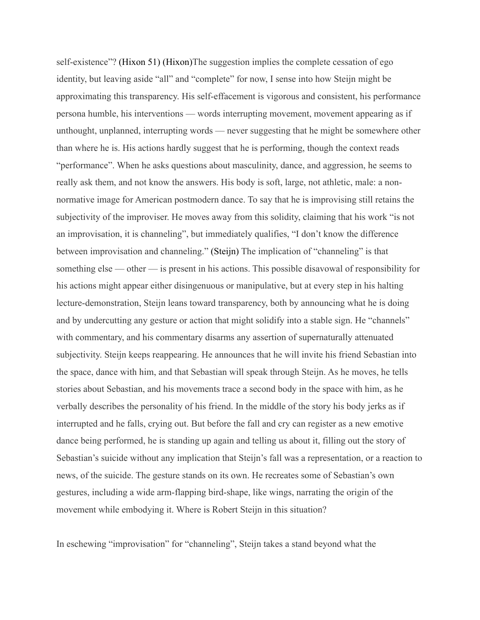self-existence"? (Hixon 51) (Hixon)The suggestion implies the complete cessation of ego identity, but leaving aside "all" and "complete" for now, I sense into how Steijn might be approximating this transparency. His self-effacement is vigorous and consistent, his performance persona humble, his interventions — words interrupting movement, movement appearing as if unthought, unplanned, interrupting words — never suggesting that he might be somewhere other than where he is. His actions hardly suggest that he is performing, though the context reads "performance". When he asks questions about masculinity, dance, and aggression, he seems to really ask them, and not know the answers. His body is soft, large, not athletic, male: a nonnormative image for American postmodern dance. To say that he is improvising still retains the subjectivity of the improviser. He moves away from this solidity, claiming that his work "is not an improvisation, it is channeling", but immediately qualifies, "I don't know the difference between improvisation and channeling." (Steijn) The implication of "channeling" is that something else — other — is present in his actions. This possible disavowal of responsibility for his actions might appear either disingenuous or manipulative, but at every step in his halting lecture-demonstration, Steijn leans toward transparency, both by announcing what he is doing and by undercutting any gesture or action that might solidify into a stable sign. He "channels" with commentary, and his commentary disarms any assertion of supernaturally attenuated subjectivity. Steijn keeps reappearing. He announces that he will invite his friend Sebastian into the space, dance with him, and that Sebastian will speak through Steijn. As he moves, he tells stories about Sebastian, and his movements trace a second body in the space with him, as he verbally describes the personality of his friend. In the middle of the story his body jerks as if interrupted and he falls, crying out. But before the fall and cry can register as a new emotive dance being performed, he is standing up again and telling us about it, filling out the story of Sebastian's suicide without any implication that Steijn's fall was a representation, or a reaction to news, of the suicide. The gesture stands on its own. He recreates some of Sebastian's own gestures, including a wide arm-flapping bird-shape, like wings, narrating the origin of the movement while embodying it. Where is Robert Steijn in this situation?

In eschewing "improvisation" for "channeling", Steijn takes a stand beyond what the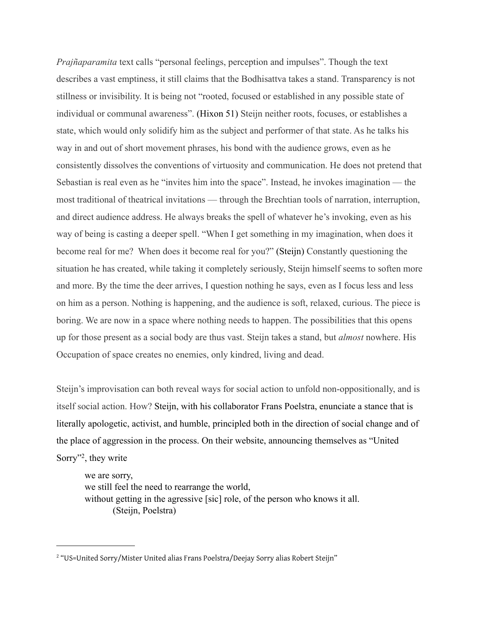*Prajñaparamita* text calls "personal feelings, perception and impulses". Though the text describes a vast emptiness, it still claims that the Bodhisattva takes a stand. Transparency is not stillness or invisibility. It is being not "rooted, focused or established in any possible state of individual or communal awareness". (Hixon 51) Steijn neither roots, focuses, or establishes a state, which would only solidify him as the subject and performer of that state. As he talks his way in and out of short movement phrases, his bond with the audience grows, even as he consistently dissolves the conventions of virtuosity and communication. He does not pretend that Sebastian is real even as he "invites him into the space". Instead, he invokes imagination — the most traditional of theatrical invitations — through the Brechtian tools of narration, interruption, and direct audience address. He always breaks the spell of whatever he's invoking, even as his way of being is casting a deeper spell. "When I get something in my imagination, when does it become real for me? When does it become real for you?" (Steijn) Constantly questioning the situation he has created, while taking it completely seriously, Steijn himself seems to soften more and more. By the time the deer arrives, I question nothing he says, even as I focus less and less on him as a person. Nothing is happening, and the audience is soft, relaxed, curious. The piece is boring. We are now in a space where nothing needs to happen. The possibilities that this opens up for those present as a social body are thus vast. Steijn takes a stand, but *almost* nowhere. His Occupation of space creates no enemies, only kindred, living and dead.

Steijn's improvisation can both reveal ways for social action to unfold non-oppositionally, and is itself social action. How? Steijn, with his collaborator Frans Poelstra, enunciate a stance that is literally apologetic, activist, and humble, principled both in the direction of social change and of the place of aggression in the process. On their website, announcing themselves as "United Sorry"[2,](#page-8-0) they write

we are sorry, we still feel the need to rearrange the world, without getting in the agressive [sic] role, of the person who knows it all. (Steijn, Poelstra)

<span id="page-8-0"></span><sup>&</sup>lt;sup>2</sup> "US=United Sorry/Mister United alias Frans Poelstra/Deejay Sorry alias Robert Steijn"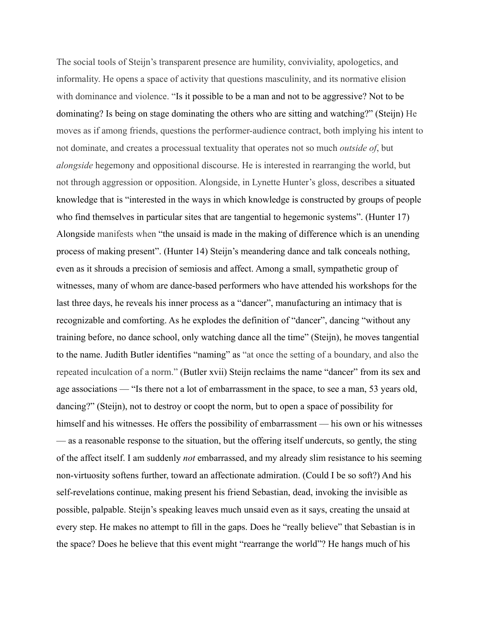The social tools of Steijn's transparent presence are humility, conviviality, apologetics, and informality. He opens a space of activity that questions masculinity, and its normative elision with dominance and violence. "Is it possible to be a man and not to be aggressive? Not to be dominating? Is being on stage dominating the others who are sitting and watching?" (Steijn) He moves as if among friends, questions the performer-audience contract, both implying his intent to not dominate, and creates a processual textuality that operates not so much *outside of*, but *alongside* hegemony and oppositional discourse. He is interested in rearranging the world, but not through aggression or opposition. Alongside, in Lynette Hunter's gloss, describes a situated knowledge that is "interested in the ways in which knowledge is constructed by groups of people who find themselves in particular sites that are tangential to hegemonic systems". (Hunter 17) Alongside manifests when "the unsaid is made in the making of difference which is an unending process of making present". (Hunter 14) Steijn's meandering dance and talk conceals nothing, even as it shrouds a precision of semiosis and affect. Among a small, sympathetic group of witnesses, many of whom are dance-based performers who have attended his workshops for the last three days, he reveals his inner process as a "dancer", manufacturing an intimacy that is recognizable and comforting. As he explodes the definition of "dancer", dancing "without any training before, no dance school, only watching dance all the time" (Steijn), he moves tangential to the name. Judith Butler identifies "naming" as "at once the setting of a boundary, and also the repeated inculcation of a norm." (Butler xvii) Steijn reclaims the name "dancer" from its sex and age associations — "Is there not a lot of embarrassment in the space, to see a man, 53 years old, dancing?" (Steijn), not to destroy or coopt the norm, but to open a space of possibility for himself and his witnesses. He offers the possibility of embarrassment — his own or his witnesses — as a reasonable response to the situation, but the offering itself undercuts, so gently, the sting of the affect itself. I am suddenly *not* embarrassed, and my already slim resistance to his seeming non-virtuosity softens further, toward an affectionate admiration. (Could I be so soft?) And his self-revelations continue, making present his friend Sebastian, dead, invoking the invisible as possible, palpable. Steijn's speaking leaves much unsaid even as it says, creating the unsaid at every step. He makes no attempt to fill in the gaps. Does he "really believe" that Sebastian is in the space? Does he believe that this event might "rearrange the world"? He hangs much of his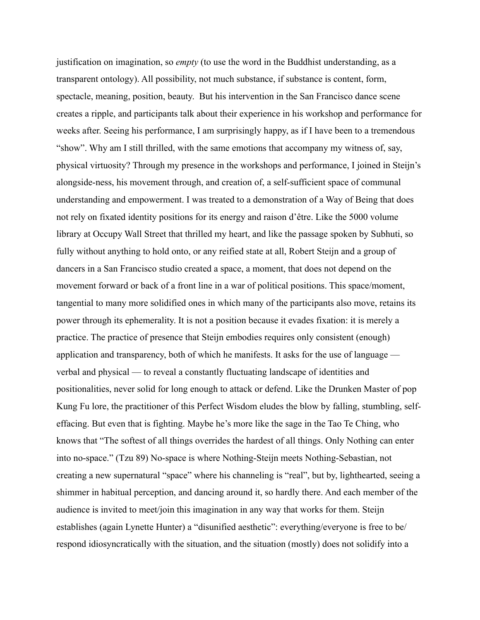justification on imagination, so *empty* (to use the word in the Buddhist understanding, as a transparent ontology). All possibility, not much substance, if substance is content, form, spectacle, meaning, position, beauty. But his intervention in the San Francisco dance scene creates a ripple, and participants talk about their experience in his workshop and performance for weeks after. Seeing his performance, I am surprisingly happy, as if I have been to a tremendous "show". Why am I still thrilled, with the same emotions that accompany my witness of, say, physical virtuosity? Through my presence in the workshops and performance, I joined in Steijn's alongside-ness, his movement through, and creation of, a self-sufficient space of communal understanding and empowerment. I was treated to a demonstration of a Way of Being that does not rely on fixated identity positions for its energy and raison d'être. Like the 5000 volume library at Occupy Wall Street that thrilled my heart, and like the passage spoken by Subhuti, so fully without anything to hold onto, or any reified state at all, Robert Steijn and a group of dancers in a San Francisco studio created a space, a moment, that does not depend on the movement forward or back of a front line in a war of political positions. This space/moment, tangential to many more solidified ones in which many of the participants also move, retains its power through its ephemerality. It is not a position because it evades fixation: it is merely a practice. The practice of presence that Steijn embodies requires only consistent (enough) application and transparency, both of which he manifests. It asks for the use of language verbal and physical — to reveal a constantly fluctuating landscape of identities and positionalities, never solid for long enough to attack or defend. Like the Drunken Master of pop Kung Fu lore, the practitioner of this Perfect Wisdom eludes the blow by falling, stumbling, selfeffacing. But even that is fighting. Maybe he's more like the sage in the Tao Te Ching, who knows that "The softest of all things overrides the hardest of all things. Only Nothing can enter into no-space." (Tzu 89) No-space is where Nothing-Steijn meets Nothing-Sebastian, not creating a new supernatural "space" where his channeling is "real", but by, lighthearted, seeing a shimmer in habitual perception, and dancing around it, so hardly there. And each member of the audience is invited to meet/join this imagination in any way that works for them. Steijn establishes (again Lynette Hunter) a "disunified aesthetic": everything/everyone is free to be/ respond idiosyncratically with the situation, and the situation (mostly) does not solidify into a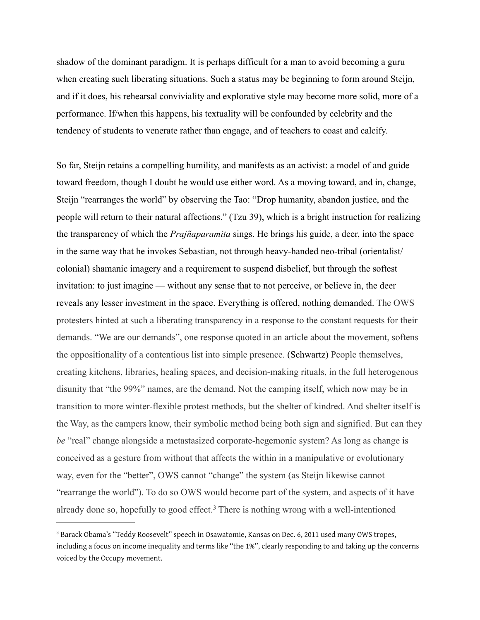shadow of the dominant paradigm. It is perhaps difficult for a man to avoid becoming a guru when creating such liberating situations. Such a status may be beginning to form around Steijn, and if it does, his rehearsal conviviality and explorative style may become more solid, more of a performance. If/when this happens, his textuality will be confounded by celebrity and the tendency of students to venerate rather than engage, and of teachers to coast and calcify.

So far, Steijn retains a compelling humility, and manifests as an activist: a model of and guide toward freedom, though I doubt he would use either word. As a moving toward, and in, change, Steijn "rearranges the world" by observing the Tao: "Drop humanity, abandon justice, and the people will return to their natural affections." (Tzu 39), which is a bright instruction for realizing the transparency of which the *Prajñaparamita* sings. He brings his guide, a deer, into the space in the same way that he invokes Sebastian, not through heavy-handed neo-tribal (orientalist/ colonial) shamanic imagery and a requirement to suspend disbelief, but through the softest invitation: to just imagine — without any sense that to not perceive, or believe in, the deer reveals any lesser investment in the space. Everything is offered, nothing demanded. The OWS protesters hinted at such a liberating transparency in a response to the constant requests for their demands. "We are our demands", one response quoted in an article about the movement, softens the oppositionality of a contentious list into simple presence. (Schwartz) People themselves, creating kitchens, libraries, healing spaces, and decision-making rituals, in the full heterogenous disunity that "the 99%" names, are the demand. Not the camping itself, which now may be in transition to more winter-flexible protest methods, but the shelter of kindred. And shelter itself is the Way, as the campers know, their symbolic method being both sign and signified. But can they *be* "real" change alongside a metastasized corporate-hegemonic system? As long as change is conceived as a gesture from without that affects the within in a manipulative or evolutionary way, even for the "better", OWS cannot "change" the system (as Steijn likewise cannot "rearrange the world"). To do so OWS would become part of the system, and aspects of it have already done so, hopefully to good effect.<sup>3</sup> There is nothing wrong with a well-intentioned

<span id="page-11-0"></span><sup>&</sup>lt;sup>3</sup> Barack Obama's "Teddy Roosevelt" speech in Osawatomie, Kansas on Dec. 6, 2011 used many OWS tropes, including a focus on income inequality and terms like "the 1%", clearly responding to and taking up the concerns voiced by the Occupy movement.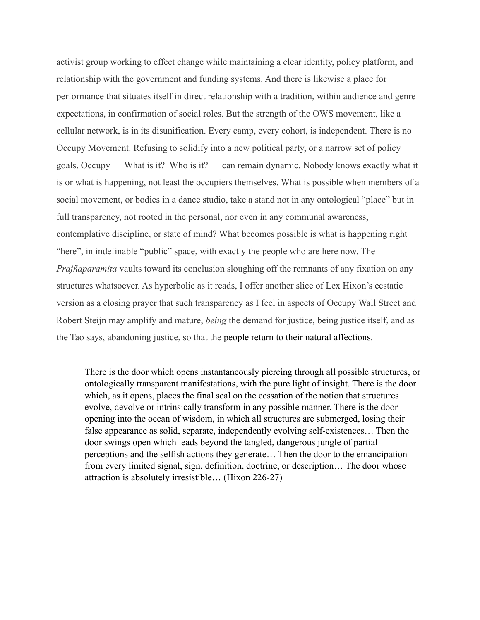activist group working to effect change while maintaining a clear identity, policy platform, and relationship with the government and funding systems. And there is likewise a place for performance that situates itself in direct relationship with a tradition, within audience and genre expectations, in confirmation of social roles. But the strength of the OWS movement, like a cellular network, is in its disunification. Every camp, every cohort, is independent. There is no Occupy Movement. Refusing to solidify into a new political party, or a narrow set of policy goals, Occupy — What is it? Who is it? — can remain dynamic. Nobody knows exactly what it is or what is happening, not least the occupiers themselves. What is possible when members of a social movement, or bodies in a dance studio, take a stand not in any ontological "place" but in full transparency, not rooted in the personal, nor even in any communal awareness, contemplative discipline, or state of mind? What becomes possible is what is happening right "here", in indefinable "public" space, with exactly the people who are here now. The *Prajñaparamita* vaults toward its conclusion sloughing off the remnants of any fixation on any structures whatsoever. As hyperbolic as it reads, I offer another slice of Lex Hixon's ecstatic version as a closing prayer that such transparency as I feel in aspects of Occupy Wall Street and Robert Steijn may amplify and mature, *being* the demand for justice, being justice itself, and as the Tao says, abandoning justice, so that the people return to their natural affections.

There is the door which opens instantaneously piercing through all possible structures, or ontologically transparent manifestations, with the pure light of insight. There is the door which, as it opens, places the final seal on the cessation of the notion that structures evolve, devolve or intrinsically transform in any possible manner. There is the door opening into the ocean of wisdom, in which all structures are submerged, losing their false appearance as solid, separate, independently evolving self-existences… Then the door swings open which leads beyond the tangled, dangerous jungle of partial perceptions and the selfish actions they generate… Then the door to the emancipation from every limited signal, sign, definition, doctrine, or description… The door whose attraction is absolutely irresistible… (Hixon 226-27)